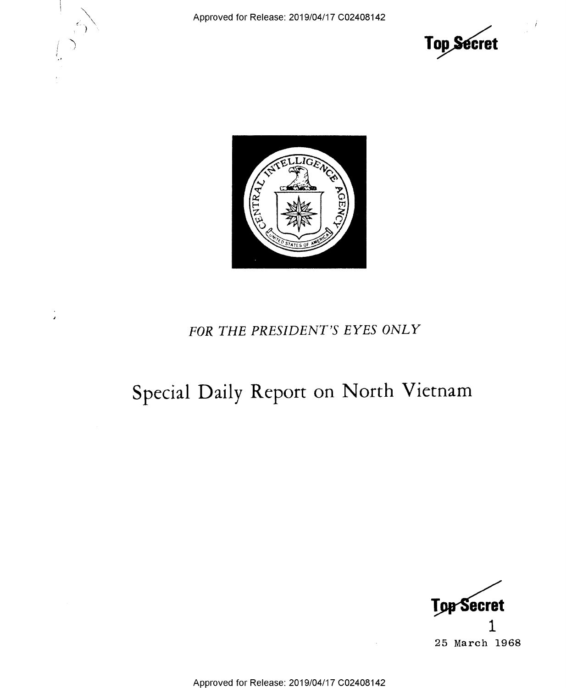Approved for Release: 2019/04/17 C02408142





## FOR THE PRESIDENT'S EYES ONLY

## Special Daily Report on North Vietnam



Approved for Release: 2019/04/17 C02408142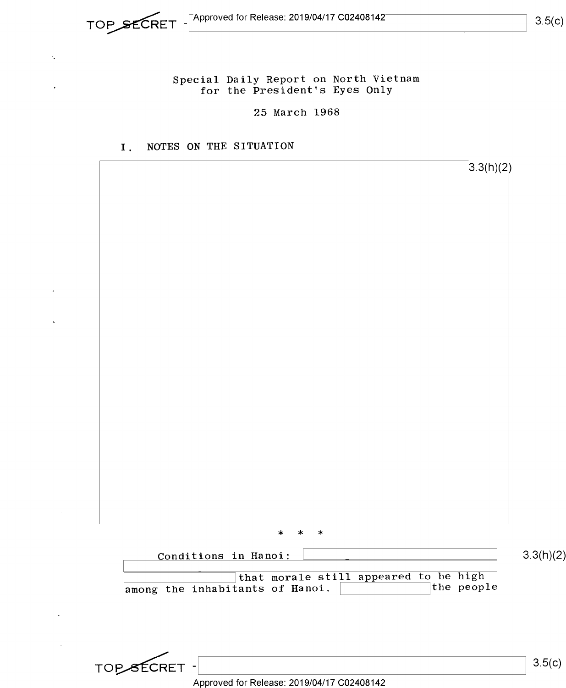## Special Daily Report on North Vietnam for the President's Eyes Only

25 March 1968

## I. NOTES ON THE SITUATION

3.3(h)(2) \* \* \*1 Conditions in Hanoi:  $\boxed{\qquad \qquad }$  3.3(h)(2)  $\frac{1}{2}$  that morale still appeared to be high cants of Hanoi. among the inhabitants of Hanoi. TOPSECRET - $3.5(c)$ 

Approved for Release: 2019/04/17 C02408142